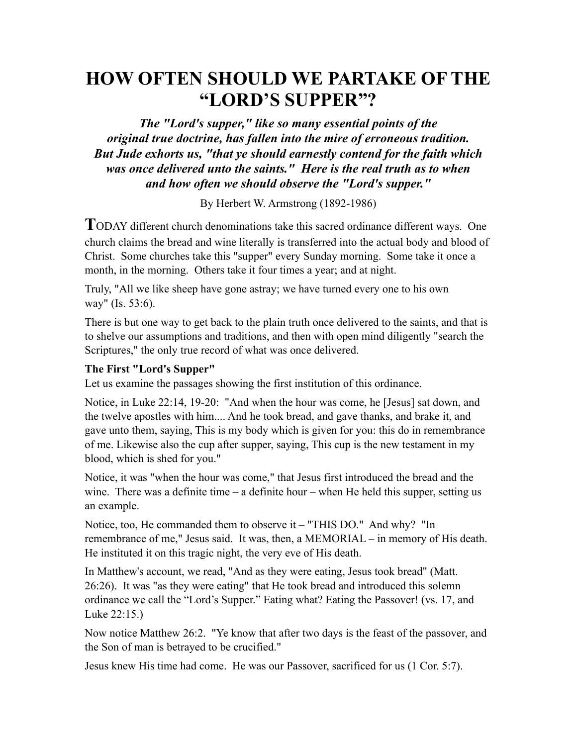# **HOW OFTEN SHOULD WE PARTAKE OF THE "LORD'S SUPPER"?**

*The "Lord's supper," like so many essential points of the original true doctrine, has fallen into the mire of erroneous tradition. But Jude exhorts us, "that ye should earnestly contend for the faith which was once delivered unto the saints." Here is the real truth as to when and how often we should observe the "Lord's supper."*

By Herbert W. Armstrong (1892-1986)

**T**ODAY different church denominations take this sacred ordinance different ways. One church claims the bread and wine literally is transferred into the actual body and blood of Christ. Some churches take this "supper" every Sunday morning. Some take it once a month, in the morning. Others take it four times a year; and at night.

Truly, "All we like sheep have gone astray; we have turned every one to his own way" (Is. 53:6).

There is but one way to get back to the plain truth once delivered to the saints, and that is to shelve our assumptions and traditions, and then with open mind diligently "search the Scriptures," the only true record of what was once delivered.

## **The First "Lord's Supper"**

Let us examine the passages showing the first institution of this ordinance.

Notice, in Luke 22:14, 19-20: "And when the hour was come, he [Jesus] sat down, and the twelve apostles with him.... And he took bread, and gave thanks, and brake it, and gave unto them, saying, This is my body which is given for you: this do in remembrance of me. Likewise also the cup after supper, saying, This cup is the new testament in my blood, which is shed for you."

Notice, it was "when the hour was come," that Jesus first introduced the bread and the wine. There was a definite time  $-$  a definite hour  $-$  when He held this supper, setting us an example.

Notice, too, He commanded them to observe it – "THIS DO." And why? "In remembrance of me," Jesus said. It was, then, a MEMORIAL – in memory of His death. He instituted it on this tragic night, the very eve of His death.

In Matthew's account, we read, "And as they were eating, Jesus took bread" (Matt. 26:26). It was "as they were eating" that He took bread and introduced this solemn ordinance we call the "Lord's Supper." Eating what? Eating the Passover! (vs. 17, and Luke 22:15.)

Now notice Matthew 26:2. "Ye know that after two days is the feast of the passover, and the Son of man is betrayed to be crucified."

Jesus knew His time had come. He was our Passover, sacrificed for us (1 Cor. 5:7).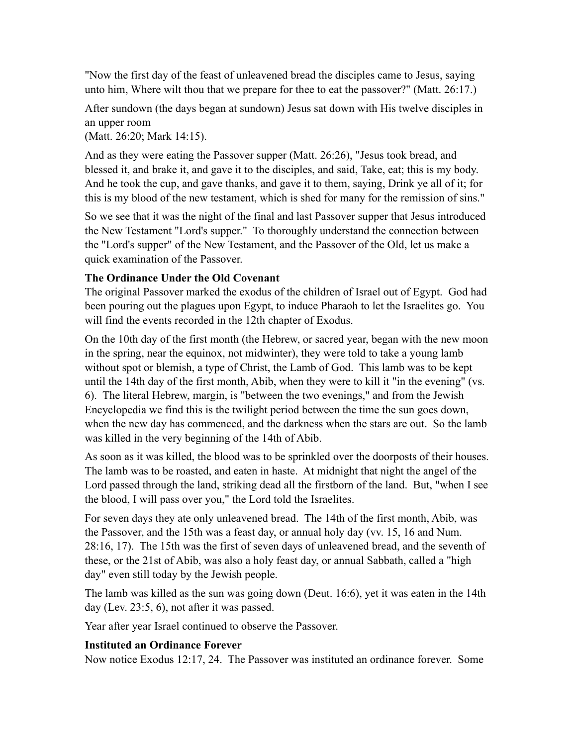"Now the first day of the feast of unleavened bread the disciples came to Jesus, saying unto him, Where wilt thou that we prepare for thee to eat the passover?" (Matt. 26:17.)

After sundown (the days began at sundown) Jesus sat down with His twelve disciples in an upper room

(Matt. 26:20; Mark 14:15).

And as they were eating the Passover supper (Matt. 26:26), "Jesus took bread, and blessed it, and brake it, and gave it to the disciples, and said, Take, eat; this is my body. And he took the cup, and gave thanks, and gave it to them, saying, Drink ye all of it; for this is my blood of the new testament, which is shed for many for the remission of sins."

So we see that it was the night of the final and last Passover supper that Jesus introduced the New Testament "Lord's supper." To thoroughly understand the connection between the "Lord's supper" of the New Testament, and the Passover of the Old, let us make a quick examination of the Passover.

## **The Ordinance Under the Old Covenant**

The original Passover marked the exodus of the children of Israel out of Egypt. God had been pouring out the plagues upon Egypt, to induce Pharaoh to let the Israelites go. You will find the events recorded in the 12th chapter of Exodus.

On the 10th day of the first month (the Hebrew, or sacred year, began with the new moon in the spring, near the equinox, not midwinter), they were told to take a young lamb without spot or blemish, a type of Christ, the Lamb of God. This lamb was to be kept until the 14th day of the first month, Abib, when they were to kill it "in the evening" (vs. 6). The literal Hebrew, margin, is "between the two evenings," and from the Jewish Encyclopedia we find this is the twilight period between the time the sun goes down, when the new day has commenced, and the darkness when the stars are out. So the lamb was killed in the very beginning of the 14th of Abib.

As soon as it was killed, the blood was to be sprinkled over the doorposts of their houses. The lamb was to be roasted, and eaten in haste. At midnight that night the angel of the Lord passed through the land, striking dead all the firstborn of the land. But, "when I see the blood, I will pass over you," the Lord told the Israelites.

For seven days they ate only unleavened bread. The 14th of the first month, Abib, was the Passover, and the 15th was a feast day, or annual holy day (vv. 15, 16 and Num. 28:16, 17). The 15th was the first of seven days of unleavened bread, and the seventh of these, or the 21st of Abib, was also a holy feast day, or annual Sabbath, called a "high day" even still today by the Jewish people.

The lamb was killed as the sun was going down (Deut. 16:6), yet it was eaten in the 14th day (Lev. 23:5, 6), not after it was passed.

Year after year Israel continued to observe the Passover.

# **Instituted an Ordinance Forever**

Now notice Exodus 12:17, 24. The Passover was instituted an ordinance forever. Some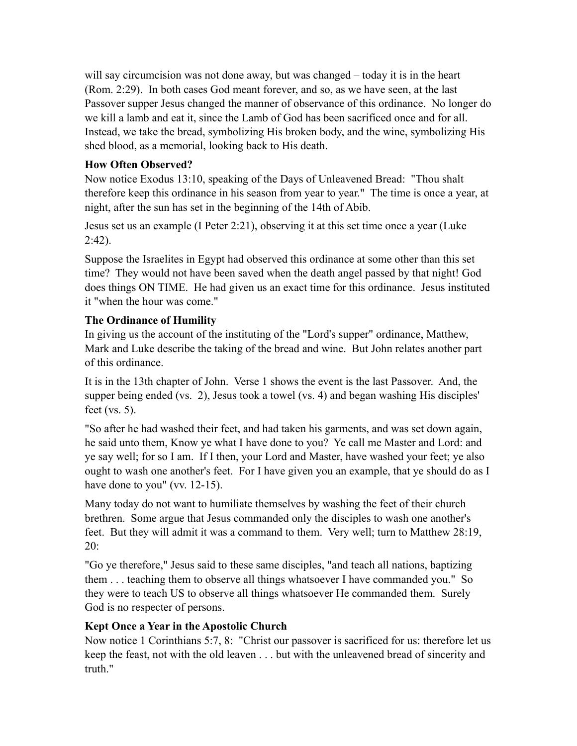will say circumcision was not done away, but was changed – today it is in the heart (Rom. 2:29). In both cases God meant forever, and so, as we have seen, at the last Passover supper Jesus changed the manner of observance of this ordinance. No longer do we kill a lamb and eat it, since the Lamb of God has been sacrificed once and for all. Instead, we take the bread, symbolizing His broken body, and the wine, symbolizing His shed blood, as a memorial, looking back to His death.

## **How Often Observed?**

Now notice Exodus 13:10, speaking of the Days of Unleavened Bread: "Thou shalt therefore keep this ordinance in his season from year to year." The time is once a year, at night, after the sun has set in the beginning of the 14th of Abib.

Jesus set us an example (I Peter 2:21), observing it at this set time once a year (Luke  $2:42$ ).

Suppose the Israelites in Egypt had observed this ordinance at some other than this set time? They would not have been saved when the death angel passed by that night! God does things ON TIME. He had given us an exact time for this ordinance. Jesus instituted it "when the hour was come."

## **The Ordinance of Humility**

In giving us the account of the instituting of the "Lord's supper" ordinance, Matthew, Mark and Luke describe the taking of the bread and wine. But John relates another part of this ordinance.

It is in the 13th chapter of John. Verse 1 shows the event is the last Passover. And, the supper being ended (vs. 2), Jesus took a towel (vs. 4) and began washing His disciples' feet (vs. 5).

"So after he had washed their feet, and had taken his garments, and was set down again, he said unto them, Know ye what I have done to you? Ye call me Master and Lord: and ye say well; for so I am. If I then, your Lord and Master, have washed your feet; ye also ought to wash one another's feet. For I have given you an example, that ye should do as I have done to you" (vv. 12-15).

Many today do not want to humiliate themselves by washing the feet of their church brethren. Some argue that Jesus commanded only the disciples to wash one another's feet. But they will admit it was a command to them. Very well; turn to Matthew 28:19, 20:

"Go ye therefore," Jesus said to these same disciples, "and teach all nations, baptizing them . . . teaching them to observe all things whatsoever I have commanded you." So they were to teach US to observe all things whatsoever He commanded them. Surely God is no respecter of persons.

# **Kept Once a Year in the Apostolic Church**

Now notice 1 Corinthians 5:7, 8: "Christ our passover is sacrificed for us: therefore let us keep the feast, not with the old leaven . . . but with the unleavened bread of sincerity and truth."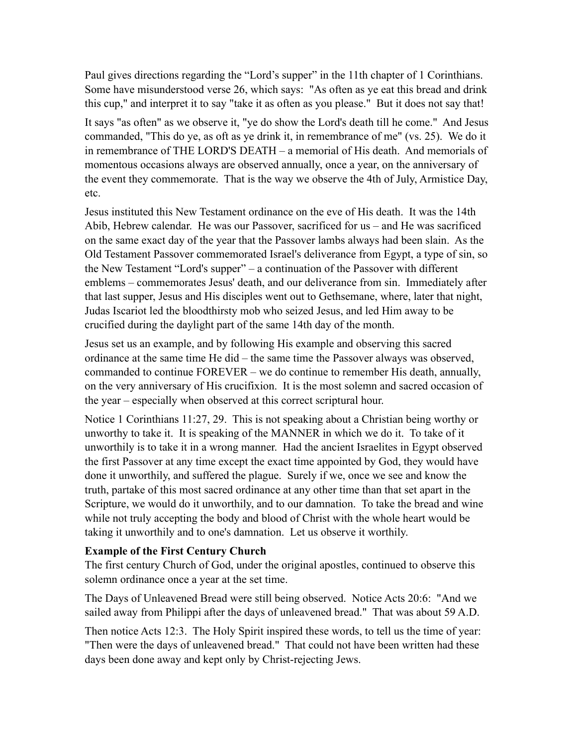Paul gives directions regarding the "Lord's supper" in the 11th chapter of 1 Corinthians. Some have misunderstood verse 26, which says: "As often as ye eat this bread and drink this cup," and interpret it to say "take it as often as you please." But it does not say that!

It says "as often" as we observe it, "ye do show the Lord's death till he come." And Jesus commanded, "This do ye, as oft as ye drink it, in remembrance of me" (vs. 25). We do it in remembrance of THE LORD'S DEATH – a memorial of His death. And memorials of momentous occasions always are observed annually, once a year, on the anniversary of the event they commemorate. That is the way we observe the 4th of July, Armistice Day, etc.

Jesus instituted this New Testament ordinance on the eve of His death. It was the 14th Abib, Hebrew calendar. He was our Passover, sacrificed for us – and He was sacrificed on the same exact day of the year that the Passover lambs always had been slain. As the Old Testament Passover commemorated Israel's deliverance from Egypt, a type of sin, so the New Testament "Lord's supper" – a continuation of the Passover with different emblems – commemorates Jesus' death, and our deliverance from sin. Immediately after that last supper, Jesus and His disciples went out to Gethsemane, where, later that night, Judas Iscariot led the bloodthirsty mob who seized Jesus, and led Him away to be crucified during the daylight part of the same 14th day of the month.

Jesus set us an example, and by following His example and observing this sacred ordinance at the same time He did – the same time the Passover always was observed, commanded to continue FOREVER – we do continue to remember His death, annually, on the very anniversary of His crucifixion. It is the most solemn and sacred occasion of the year – especially when observed at this correct scriptural hour.

Notice 1 Corinthians 11:27, 29. This is not speaking about a Christian being worthy or unworthy to take it. It is speaking of the MANNER in which we do it. To take of it unworthily is to take it in a wrong manner. Had the ancient Israelites in Egypt observed the first Passover at any time except the exact time appointed by God, they would have done it unworthily, and suffered the plague. Surely if we, once we see and know the truth, partake of this most sacred ordinance at any other time than that set apart in the Scripture, we would do it unworthily, and to our damnation. To take the bread and wine while not truly accepting the body and blood of Christ with the whole heart would be taking it unworthily and to one's damnation. Let us observe it worthily.

## **Example of the First Century Church**

The first century Church of God, under the original apostles, continued to observe this solemn ordinance once a year at the set time.

The Days of Unleavened Bread were still being observed. Notice Acts 20:6: "And we sailed away from Philippi after the days of unleavened bread." That was about 59 A.D.

Then notice Acts 12:3. The Holy Spirit inspired these words, to tell us the time of year: "Then were the days of unleavened bread." That could not have been written had these days been done away and kept only by Christ-rejecting Jews.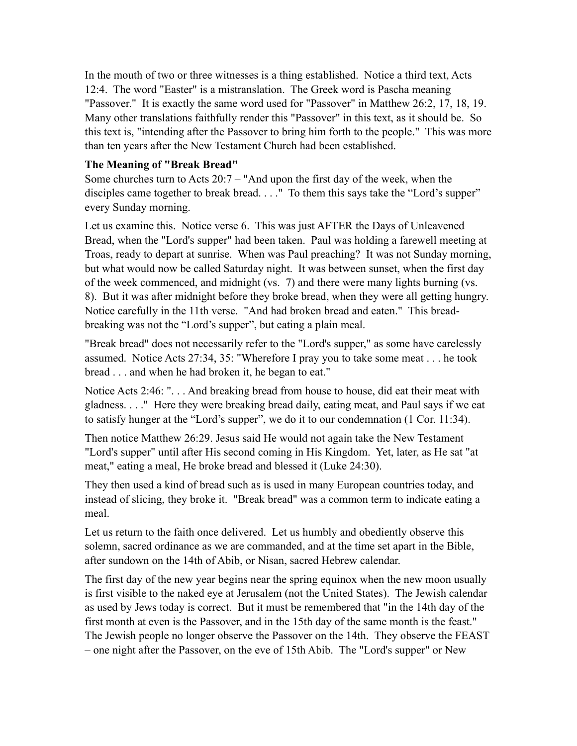In the mouth of two or three witnesses is a thing established. Notice a third text, Acts 12:4. The word "Easter" is a mistranslation. The Greek word is Pascha meaning "Passover." It is exactly the same word used for "Passover" in Matthew 26:2, 17, 18, 19. Many other translations faithfully render this "Passover" in this text, as it should be. So this text is, "intending after the Passover to bring him forth to the people." This was more than ten years after the New Testament Church had been established.

#### **The Meaning of "Break Bread"**

Some churches turn to Acts 20:7 – "And upon the first day of the week, when the disciples came together to break bread. . . . " To them this says take the "Lord's supper" every Sunday morning.

Let us examine this. Notice verse 6. This was just AFTER the Days of Unleavened Bread, when the "Lord's supper" had been taken. Paul was holding a farewell meeting at Troas, ready to depart at sunrise. When was Paul preaching? It was not Sunday morning, but what would now be called Saturday night. It was between sunset, when the first day of the week commenced, and midnight (vs. 7) and there were many lights burning (vs. 8). But it was after midnight before they broke bread, when they were all getting hungry. Notice carefully in the 11th verse. "And had broken bread and eaten." This breadbreaking was not the "Lord's supper", but eating a plain meal.

"Break bread" does not necessarily refer to the "Lord's supper," as some have carelessly assumed. Notice Acts 27:34, 35: "Wherefore I pray you to take some meat . . . he took bread . . . and when he had broken it, he began to eat."

Notice Acts 2:46: ". . . And breaking bread from house to house, did eat their meat with gladness. . . ." Here they were breaking bread daily, eating meat, and Paul says if we eat to satisfy hunger at the "Lord's supper", we do it to our condemnation (1 Cor. 11:34).

Then notice Matthew 26:29. Jesus said He would not again take the New Testament "Lord's supper" until after His second coming in His Kingdom. Yet, later, as He sat "at meat," eating a meal, He broke bread and blessed it (Luke 24:30).

They then used a kind of bread such as is used in many European countries today, and instead of slicing, they broke it. "Break bread" was a common term to indicate eating a meal.

Let us return to the faith once delivered. Let us humbly and obediently observe this solemn, sacred ordinance as we are commanded, and at the time set apart in the Bible, after sundown on the 14th of Abib, or Nisan, sacred Hebrew calendar.

The first day of the new year begins near the spring equinox when the new moon usually is first visible to the naked eye at Jerusalem (not the United States). The Jewish calendar as used by Jews today is correct. But it must be remembered that "in the 14th day of the first month at even is the Passover, and in the 15th day of the same month is the feast." The Jewish people no longer observe the Passover on the 14th. They observe the FEAST – one night after the Passover, on the eve of 15th Abib. The "Lord's supper" or New